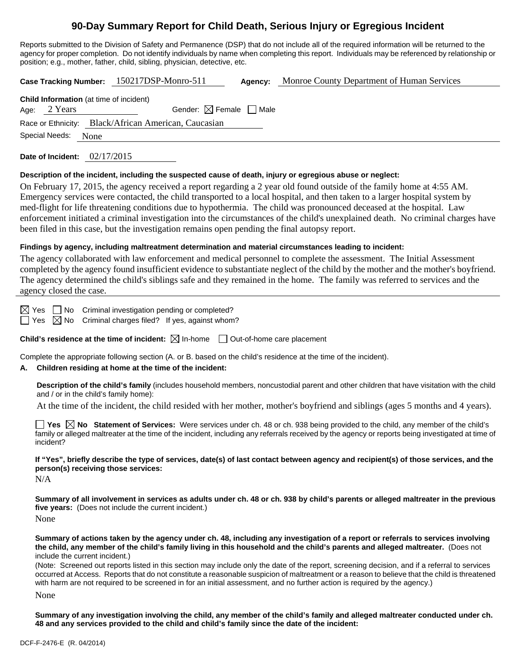## **90-Day Summary Report for Child Death, Serious Injury or Egregious Incident**

Reports submitted to the Division of Safety and Permanence (DSP) that do not include all of the required information will be returned to the agency for proper completion. Do not identify individuals by name when completing this report. Individuals may be referenced by relationship or position; e.g., mother, father, child, sibling, physician, detective, etc.

| Case Tracking Number: 150217DSP-Monro-511<br>Monroe County Department of Human Services<br>Agency:                                                                                                                                                                                                                                                                                                                                                                                                                                                                                                                                                                                                                                |  |  |  |  |
|-----------------------------------------------------------------------------------------------------------------------------------------------------------------------------------------------------------------------------------------------------------------------------------------------------------------------------------------------------------------------------------------------------------------------------------------------------------------------------------------------------------------------------------------------------------------------------------------------------------------------------------------------------------------------------------------------------------------------------------|--|--|--|--|
| Child Information (at time of incident)<br>Gender: $\boxtimes$ Female $\Box$ Male<br>2 Years<br>Age:<br>Black/African American, Caucasian<br>Race or Ethnicity:<br>Special Needs:<br>None                                                                                                                                                                                                                                                                                                                                                                                                                                                                                                                                         |  |  |  |  |
| Date of Incident: $02/17/2015$                                                                                                                                                                                                                                                                                                                                                                                                                                                                                                                                                                                                                                                                                                    |  |  |  |  |
| Description of the incident, including the suspected cause of death, injury or egregious abuse or neglect:<br>On February 17, 2015, the agency received a report regarding a 2 year old found outside of the family home at 4:55 AM.<br>Emergency services were contacted, the child transported to a local hospital, and then taken to a larger hospital system by<br>med-flight for life threatening conditions due to hypothermia. The child was pronounced deceased at the hospital. Law<br>enforcement initiated a criminal investigation into the circumstances of the child's unexplained death. No criminal charges have<br>been filed in this case, but the investigation remains open pending the final autopsy report. |  |  |  |  |
| Findings by agency, including maltreatment determination and material circumstances leading to incident:<br>The agency collaborated with law enforcement and medical personnel to complete the assessment. The Initial Assessment<br>completed by the agency found insufficient evidence to substantiate neglect of the child by the mother and the mother's boyfriend.<br>The agency determined the child's siblings safe and they remained in the home. The family was referred to services and the<br>agency closed the case.                                                                                                                                                                                                  |  |  |  |  |
| Criminal investigation pending or completed?<br>$\boxtimes$ Yes<br>∣ ∣No<br>Criminal charges filed? If yes, against whom?<br>$\boxtimes$ No<br>  Yes                                                                                                                                                                                                                                                                                                                                                                                                                                                                                                                                                                              |  |  |  |  |
| <b>Child's residence at the time of incident:</b> $\boxtimes$ In-home $\Box$ Out-of-home care placement                                                                                                                                                                                                                                                                                                                                                                                                                                                                                                                                                                                                                           |  |  |  |  |
| Complete the appropriate following section (A. or B. based on the child's residence at the time of the incident).<br>Children residing at home at the time of the incident:<br>А.                                                                                                                                                                                                                                                                                                                                                                                                                                                                                                                                                 |  |  |  |  |
| Description of the child's family (includes household members, noncustodial parent and other children that have visitation with the child<br>and / or in the child's family home):<br>At the time of the incident, the child resided with her mother, mother's boyfriend and siblings (ages 5 months and 4 years).<br>Yes $\boxtimes$ No Statement of Services: Were services under ch. 48 or ch. 938 being provided to the child, any member of the child's<br>family or alleged maltreater at the time of the incident, including any referrals received by the agency or reports being investigated at time of<br>incident?                                                                                                    |  |  |  |  |
| If "Yes", briefly describe the type of services, date(s) of last contact between agency and recipient(s) of those services, and the                                                                                                                                                                                                                                                                                                                                                                                                                                                                                                                                                                                               |  |  |  |  |

**person(s) receiving those services:** 

N/A

**Summary of all involvement in services as adults under ch. 48 or ch. 938 by child's parents or alleged maltreater in the previous five years:** (Does not include the current incident.)

None

**Summary of actions taken by the agency under ch. 48, including any investigation of a report or referrals to services involving the child, any member of the child's family living in this household and the child's parents and alleged maltreater.** (Does not include the current incident.)

(Note: Screened out reports listed in this section may include only the date of the report, screening decision, and if a referral to services occurred at Access. Reports that do not constitute a reasonable suspicion of maltreatment or a reason to believe that the child is threatened with harm are not required to be screened in for an initial assessment, and no further action is required by the agency.)

None

**Summary of any investigation involving the child, any member of the child's family and alleged maltreater conducted under ch. 48 and any services provided to the child and child's family since the date of the incident:**